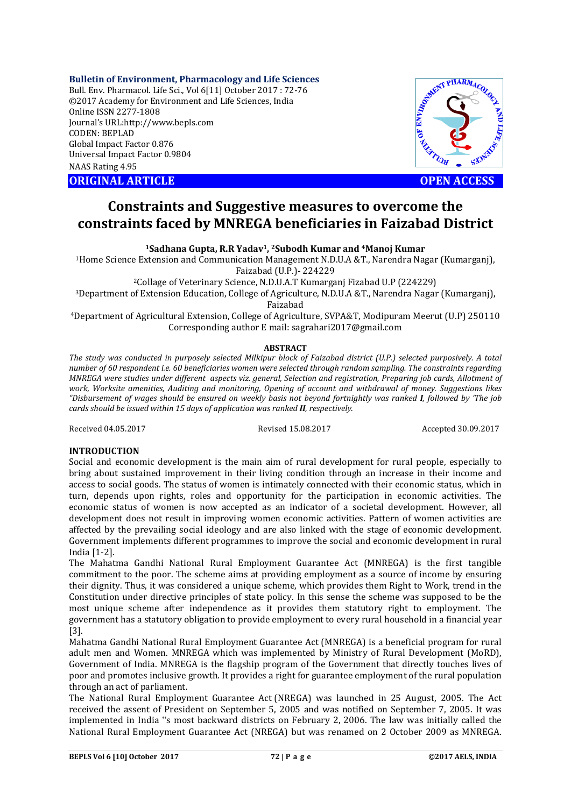# **Bulletin of Environment, Pharmacology and Life Sciences**

Bull. Env. Pharmacol. Life Sci., Vol 6[11] October 2017 : 72-76 ©2017 Academy for Environment and Life Sciences, India Online ISSN 2277-1808 Journal's URL:http://www.bepls.com CODEN: BEPLAD Global Impact Factor 0.876 Universal Impact Factor 0.9804 NAAS Rating 4.95 ORIGINAL ARTICLE<br>
ORIGINAL ARTICLE<br>
ORIGINAL ARTICLE<br>
ORIGINAL ARTICLE<br>
ORIGINAL ARTICLE<br>
ORIGINAL ARTICLE<br>
ORIGINAL ARTICLE<br>
OPEN ACCESS



# **Constraints and Suggestive measures to overcome the constraints faced by MNREGA beneficiaries in Faizabad District**

**1Sadhana Gupta, R.R Yadav1, 2Subodh Kumar and 4Manoj Kumar**

1Home Science Extension and Communication Management N.D.U.A &T., Narendra Nagar (Kumarganj), Faizabad (U.P.)- 224229

2Collage of Veterinary Science, N.D.U.A.T Kumarganj Fizabad U.P (224229)

3Department of Extension Education, College of Agriculture, N.D.U.A &T., Narendra Nagar (Kumarganj),

Faizabad

4Department of Agricultural Extension, College of Agriculture, SVPA&T, Modipuram Meerut (U.P) 250110 Corresponding author E mail: sagrahari2017@gmail.com

## **ABSTRACT**

*The study was conducted in purposely selected Milkipur block of Faizabad district (U.P.) selected purposively. A total number of 60 respondent i.e. 60 beneficiaries women were selected through random sampling. The constraints regarding MNREGA were studies under different aspects viz. general, Selection and registration, Preparing job cards, Allotment of work, Worksite amenities, Auditing and monitoring, Opening of account and withdrawal of money. Suggestions likes "Disbursement of wages should be ensured on weekly basis not beyond fortnightly was ranked I, followed by 'The job cards should be issued within 15 days of application was ranked II, respectively.*

Received 04.05.2017 Revised 15.08.2017 Accepted 30.09.2017

# **INTRODUCTION**

Social and economic development is the main aim of rural development for rural people, especially to bring about sustained improvement in their living condition through an increase in their income and access to social goods. The status of women is intimately connected with their economic status, which in turn, depends upon rights, roles and opportunity for the participation in economic activities. The economic status of women is now accepted as an indicator of a societal development. However, all development does not result in improving women economic activities. Pattern of women activities are affected by the prevailing social ideology and are also linked with the stage of economic development. Government implements different programmes to improve the social and economic development in rural India [1-2].

The Mahatma Gandhi National Rural Employment Guarantee Act (MNREGA) is the first tangible commitment to the poor. The scheme aims at providing employment as a source of income by ensuring their dignity. Thus, it was considered a unique scheme, which provides them Right to Work, trend in the Constitution under directive principles of state policy. In this sense the scheme was supposed to be the most unique scheme after independence as it provides them statutory right to employment. The government has a statutory obligation to provide employment to every rural household in a financial year [3].

Mahatma Gandhi National Rural Employment Guarantee Act (MNREGA) is a beneficial program for rural adult men and Women. MNREGA which was implemented by Ministry of Rural Development (MoRD), Government of India. MNREGA is the flagship program of the Government that directly touches lives of poor and promotes inclusive growth. It provides a right for guarantee employment of the rural population through an act of parliament.

The National Rural Employment Guarantee Act (NREGA) was launched in 25 August, 2005. The Act received the assent of President on September 5, 2005 and was notified on September 7, 2005. It was implemented in India "s most backward districts on February 2, 2006. The law was initially called the National Rural Employment Guarantee Act (NREGA) but was renamed on 2 October 2009 as MNREGA.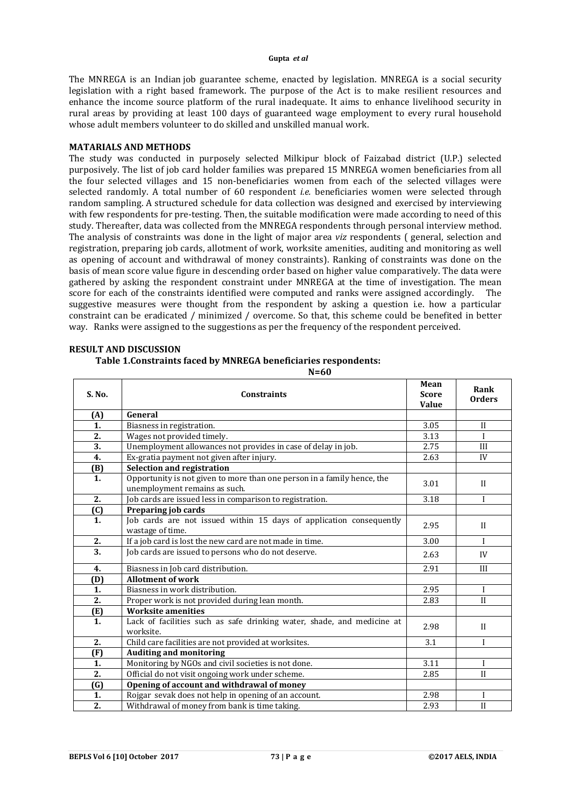The MNREGA is an Indian job guarantee scheme, enacted by legislation. MNREGA is a social security legislation with a right based framework. The purpose of the Act is to make resilient resources and enhance the income source platform of the rural inadequate. It aims to enhance livelihood security in rural areas by providing at least 100 days of guaranteed wage employment to every rural household whose adult members volunteer to do skilled and unskilled manual work.

## **MATARIALS AND METHODS**

The study was conducted in purposely selected Milkipur block of Faizabad district (U.P.) selected purposively. The list of job card holder families was prepared 15 MNREGA women beneficiaries from all the four selected villages and 15 non-beneficiaries women from each of the selected villages were selected randomly. A total number of 60 respondent *i.e.* beneficiaries women were selected through random sampling. A structured schedule for data collection was designed and exercised by interviewing with few respondents for pre-testing. Then, the suitable modification were made according to need of this study. Thereafter, data was collected from the MNREGA respondents through personal interview method. The analysis of constraints was done in the light of major area *viz* respondents ( general, selection and registration, preparing job cards, allotment of work, worksite amenities, auditing and monitoring as well as opening of account and withdrawal of money constraints). Ranking of constraints was done on the basis of mean score value figure in descending order based on higher value comparatively. The data were gathered by asking the respondent constraint under MNREGA at the time of investigation. The mean score for each of the constraints identified were computed and ranks were assigned accordingly.The suggestive measures were thought from the respondent by asking a question i.e. how a particular constraint can be eradicated / minimized / overcome. So that, this scheme could be benefited in better way. Ranks were assigned to the suggestions as per the frequency of the respondent perceived.

| S. No.            | <b>Constraints</b>                                                                                       | Mean<br><b>Score</b><br><b>Value</b> | Rank<br><b>Orders</b> |
|-------------------|----------------------------------------------------------------------------------------------------------|--------------------------------------|-----------------------|
| (A)               | General                                                                                                  |                                      |                       |
| 1.                | Biasness in registration.                                                                                | 3.05                                 | $\mathbf{I}$          |
| 2.                | Wages not provided timely.                                                                               | 3.13                                 | $\mathbf{I}$          |
| 3.                | Unemployment allowances not provides in case of delay in job.                                            | 2.75                                 | III                   |
| 4.                | Ex-gratia payment not given after injury.                                                                | 2.63                                 | IV                    |
| (B)               | Selection and registration                                                                               |                                      |                       |
| 1.                | Opportunity is not given to more than one person in a family hence, the<br>unemployment remains as such. | 3.01                                 | $\mathbf{I}$          |
| 2.                | Job cards are issued less in comparison to registration.                                                 | 3.18                                 | $\mathbf{I}$          |
| $\left( 0\right)$ | Preparing job cards                                                                                      |                                      |                       |
| 1.                | Job cards are not issued within 15 days of application consequently<br>wastage of time.                  | 2.95                                 | $\mathbf{I}$          |
| 2.                | If a job card is lost the new card are not made in time.                                                 | 3.00                                 | $\mathbf{I}$          |
| $\overline{3}$ .  | Job cards are issued to persons who do not deserve.                                                      | 2.63                                 | IV                    |
| 4.                | Biasness in Job card distribution.                                                                       | 2.91                                 | III                   |
| (D)               | <b>Allotment of work</b>                                                                                 |                                      |                       |
| 1.                | Biasness in work distribution.                                                                           | 2.95                                 | $\bf{I}$              |
| 2.                | Proper work is not provided during lean month.                                                           | 2.83                                 | $\mathbf{I}$          |
| (E)               | <b>Worksite amenities</b>                                                                                |                                      |                       |
| 1.                | Lack of facilities such as safe drinking water, shade, and medicine at<br>worksite.                      | 2.98                                 | $\mathbf{I}$          |
| 2.                | Child care facilities are not provided at worksites.                                                     | 3.1                                  | I                     |
| (F)               | <b>Auditing and monitoring</b>                                                                           |                                      |                       |
| 1.                | Monitoring by NGOs and civil societies is not done.                                                      | 3.11                                 | I                     |
| 2.                | Official do not visit ongoing work under scheme.                                                         | 2.85                                 | $\mathbf{I}$          |
| (G)               | Opening of account and withdrawal of money                                                               |                                      |                       |
| 1.                | Rojgar sevak does not help in opening of an account.                                                     | 2.98                                 | $\mathbf{I}$          |
| 2.                | Withdrawal of money from bank is time taking.                                                            | 2.93                                 | $\mathbf{I}$          |

# **RESULT AND DISCUSSION**

# **Table 1.Constraints faced by MNREGA beneficiaries respondents:**

**N=60**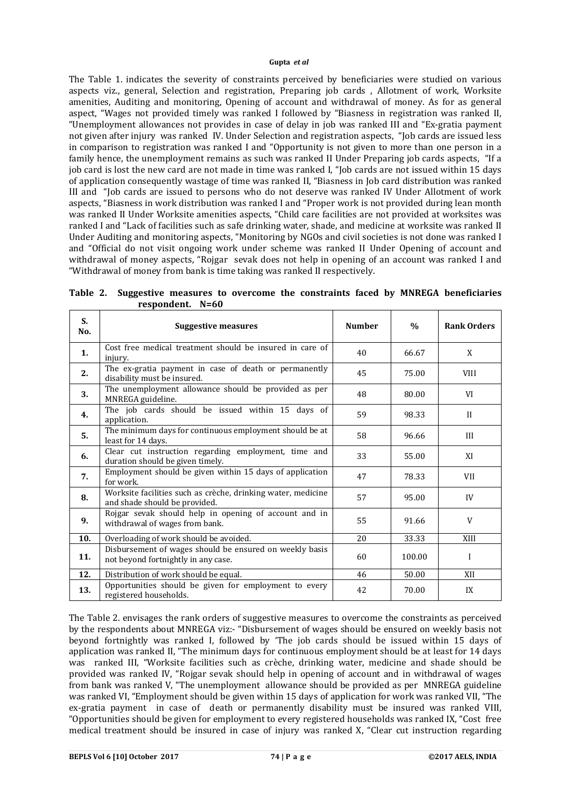The Table 1. indicates the severity of constraints perceived by beneficiaries were studied on various aspects viz., general, Selection and registration, Preparing job cards , Allotment of work, Worksite amenities, Auditing and monitoring, Opening of account and withdrawal of money. As for as general aspect, "Wages not provided timely was ranked I followed by "Biasness in registration was ranked II, "Unemployment allowances not provides in case of delay in job was ranked III and "Ex-gratia payment not given after injury was ranked IV. Under Selection and registration aspects, "Job cards are issued less in comparison to registration was ranked I and "Opportunity is not given to more than one person in a family hence, the unemployment remains as such was ranked II Under Preparing job cards aspects, "If a job card is lost the new card are not made in time was ranked I, "Job cards are not issued within 15 days of application consequently wastage of time was ranked II, "Biasness in Job card distribution was ranked III and "Job cards are issued to persons who do not deserve was ranked IV Under Allotment of work aspects, "Biasness in work distribution was ranked I and "Proper work is not provided during lean month was ranked II Under Worksite amenities aspects, "Child care facilities are not provided at worksites was ranked I and "Lack of facilities such as safe drinking water, shade, and medicine at worksite was ranked II Under Auditing and monitoring aspects, "Monitoring by NGOs and civil societies is not done was ranked I and "Official do not visit ongoing work under scheme was ranked II Under Opening of account and withdrawal of money aspects, "Rojgar sevak does not help in opening of an account was ranked I and "Withdrawal of money from bank is time taking was ranked II respectively.

| S.<br>No. | <b>Suggestive measures</b>                                                                     | <b>Number</b> | $\frac{0}{0}$ | <b>Rank Orders</b> |
|-----------|------------------------------------------------------------------------------------------------|---------------|---------------|--------------------|
| 1.        | Cost free medical treatment should be insured in care of<br>injury.                            | 40            | 66.67         | X                  |
| 2.        | The ex-gratia payment in case of death or permanently<br>disability must be insured.           | 45            | 75.00         | <b>VIII</b>        |
| 3.        | The unemployment allowance should be provided as per<br>MNREGA guideline.                      | 48            | 80.00         | <b>VI</b>          |
| 4.        | The job cards should be issued within 15 days of<br>application.                               | 59            | 98.33         | $\mathbf{H}$       |
| 5.        | The minimum days for continuous employment should be at<br>least for 14 days.                  | 58            | 96.66         | III                |
| 6.        | Clear cut instruction regarding employment, time and<br>duration should be given timely.       | 33            | 55.00         | XI                 |
| 7.        | Employment should be given within 15 days of application<br>for work.                          | 47            | 78.33         | <b>VII</b>         |
| 8.        | Worksite facilities such as crèche, drinking water, medicine<br>and shade should be provided.  | 57            | 95.00         | IV                 |
| 9.        | Rojgar sevak should help in opening of account and in<br>withdrawal of wages from bank.        | 55            | 91.66         | V                  |
| 10.       | Overloading of work should be avoided.                                                         | 20            | 33.33         | XIII               |
| 11.       | Disbursement of wages should be ensured on weekly basis<br>not beyond fortnightly in any case. | 60            | 100.00        | I                  |
| 12.       | Distribution of work should be equal.                                                          | 46            | 50.00         | XII                |
| 13.       | Opportunities should be given for employment to every<br>registered households.                | 42            | 70.00         | IX                 |

**Table 2. Suggestive measures to overcome the constraints faced by MNREGA beneficiaries respondent. N=60**

The Table 2. envisages the rank orders of suggestive measures to overcome the constraints as perceived by the respondents about MNREGA viz:- "Disbursement of wages should be ensured on weekly basis not beyond fortnightly was ranked I, followed by 'The job cards should be issued within 15 days of application was ranked II, "The minimum days for continuous employment should be at least for 14 days was ranked III, "Worksite facilities such as crèche, drinking water, medicine and shade should be provided was ranked IV, "Rojgar sevak should help in opening of account and in withdrawal of wages from bank was ranked V, "The unemployment allowance should be provided as per MNREGA guideline was ranked VI, "Employment should be given within 15 days of application for work was ranked VII, "The ex-gratia payment in case of death or permanently disability must be insured was ranked VIII, "Opportunities should be given for employment to every registered households was ranked IX, "Cost free medical treatment should be insured in case of injury was ranked X, "Clear cut instruction regarding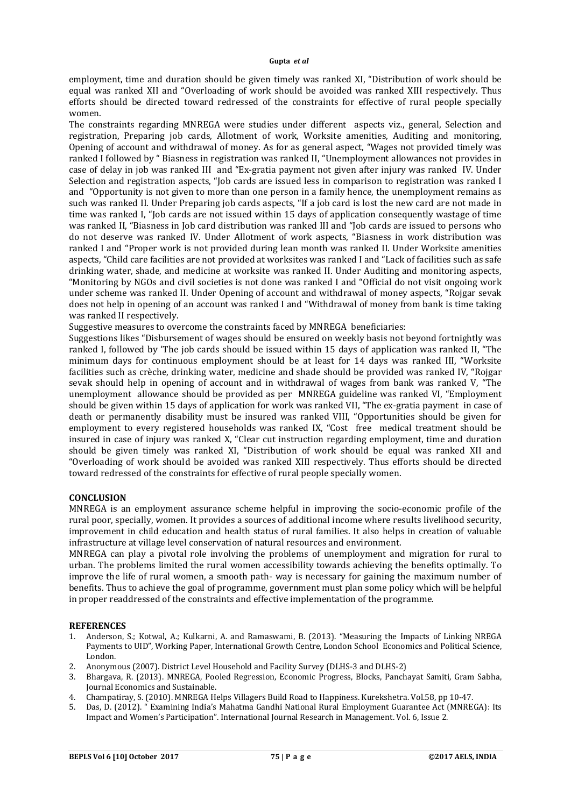employment, time and duration should be given timely was ranked XI, "Distribution of work should be equal was ranked XII and "Overloading of work should be avoided was ranked XIII respectively. Thus efforts should be directed toward redressed of the constraints for effective of rural people specially women.

The constraints regarding MNREGA were studies under different aspects viz., general, Selection and registration, Preparing job cards, Allotment of work, Worksite amenities, Auditing and monitoring, Opening of account and withdrawal of money. As for as general aspect, "Wages not provided timely was ranked I followed by " Biasness in registration was ranked II, "Unemployment allowances not provides in case of delay in job was ranked III and "Ex-gratia payment not given after injury was ranked IV. Under Selection and registration aspects, "Job cards are issued less in comparison to registration was ranked I and "Opportunity is not given to more than one person in a family hence, the unemployment remains as such was ranked II. Under Preparing job cards aspects, "If a job card is lost the new card are not made in time was ranked I, "Job cards are not issued within 15 days of application consequently wastage of time was ranked II, "Biasness in Job card distribution was ranked III and "Job cards are issued to persons who do not deserve was ranked IV. Under Allotment of work aspects, "Biasness in work distribution was ranked I and "Proper work is not provided during lean month was ranked II. Under Worksite amenities aspects, "Child care facilities are not provided at worksites was ranked I and "Lack of facilities such as safe drinking water, shade, and medicine at worksite was ranked II. Under Auditing and monitoring aspects, "Monitoring by NGOs and civil societies is not done was ranked I and "Official do not visit ongoing work under scheme was ranked II. Under Opening of account and withdrawal of money aspects, "Rojgar sevak does not help in opening of an account was ranked I and "Withdrawal of money from bank is time taking was ranked II respectively.

Suggestive measures to overcome the constraints faced by MNREGA beneficiaries:

Suggestions likes "Disbursement of wages should be ensured on weekly basis not beyond fortnightly was ranked I, followed by 'The job cards should be issued within 15 days of application was ranked II, "The minimum days for continuous employment should be at least for 14 days was ranked III, "Worksite facilities such as crèche, drinking water, medicine and shade should be provided was ranked IV, "Rojgar sevak should help in opening of account and in withdrawal of wages from bank was ranked V, "The unemployment allowance should be provided as per MNREGA guideline was ranked VI, "Employment should be given within 15 days of application for work was ranked VII, "The ex-gratia payment in case of death or permanently disability must be insured was ranked VIII, "Opportunities should be given for employment to every registered households was ranked IX, "Cost free medical treatment should be insured in case of injury was ranked X, "Clear cut instruction regarding employment, time and duration should be given timely was ranked XI, "Distribution of work should be equal was ranked XII and "Overloading of work should be avoided was ranked XIII respectively. Thus efforts should be directed toward redressed of the constraints for effective of rural people specially women.

# **CONCLUSION**

MNREGA is an employment assurance scheme helpful in improving the socio-economic profile of the rural poor, specially, women. It provides a sources of additional income where results livelihood security, improvement in child education and health status of rural families. It also helps in creation of valuable infrastructure at village level conservation of natural resources and environment.

MNREGA can play a pivotal role involving the problems of unemployment and migration for rural to urban. The problems limited the rural women accessibility towards achieving the benefits optimally. To improve the life of rural women, a smooth path- way is necessary for gaining the maximum number of benefits. Thus to achieve the goal of programme, government must plan some policy which will be helpful in proper readdressed of the constraints and effective implementation of the programme.

# **REFERENCES**

- 1. Anderson, S.; Kotwal, A.; Kulkarni, A. and Ramaswami, B. (2013). "Measuring the Impacts of Linking NREGA Payments to UID", Working Paper, International Growth Centre, London School Economics and Political Science, London.
- 2. Anonymous (2007). District Level Household and Facility Survey (DLHS-3 and DLHS-2)
- 3. Bhargava, R. (2013). MNREGA, Pooled Regression, Economic Progress, Blocks, Panchayat Samiti, Gram Sabha, Journal Economics and Sustainable.
- 4. Champatiray, S. (2010). MNREGA Helps Villagers Build Road to Happiness. Kurekshetra. Vol.58, pp 10-47.
- 5. Das, D. (2012). " Examining India's Mahatma Gandhi National Rural Employment Guarantee Act (MNREGA): Its Impact and Women's Participation". International Journal Research in Management. Vol. 6, Issue 2.